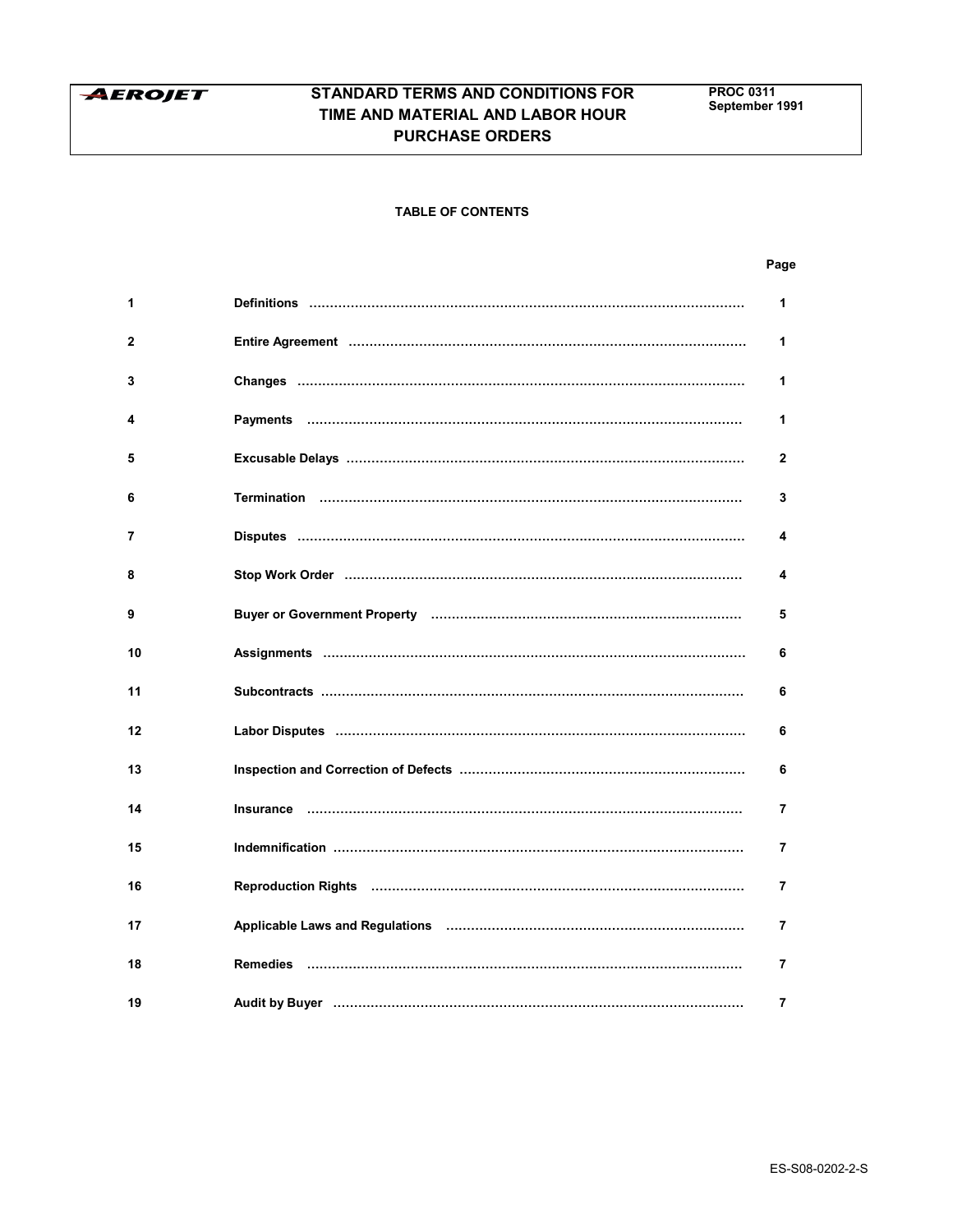

# **TABLE OF CONTENTS**

| 1  | <u>Definitions ……………………………………………………………………………………………</u>                                                         | 1              |
|----|----------------------------------------------------------------------------------------------------------------|----------------|
| 2  |                                                                                                                | 1              |
| 3  |                                                                                                                | 1              |
| 4  |                                                                                                                | 1              |
| 5  |                                                                                                                | $\mathbf{2}$   |
| 6  |                                                                                                                | 3              |
| 7  |                                                                                                                | 4              |
| 8  |                                                                                                                | 4              |
| 9  | Buyer or Government Property (and the content of the content of the content of the content of the content of t | 5              |
| 10 |                                                                                                                | 6              |
| 11 |                                                                                                                | 6              |
| 12 |                                                                                                                | 6              |
| 13 |                                                                                                                | 6              |
| 14 |                                                                                                                | 7              |
| 15 |                                                                                                                | $\overline{7}$ |
| 16 |                                                                                                                | $\overline{7}$ |
| 17 | Applicable Laws and Regulations (and the continuum continuum control and the Applicable Laws and Regulations   | $\overline{7}$ |
| 18 |                                                                                                                | 7              |
| 19 | Audit by Buyer ………………………………………………………………………………………                                                               | 7              |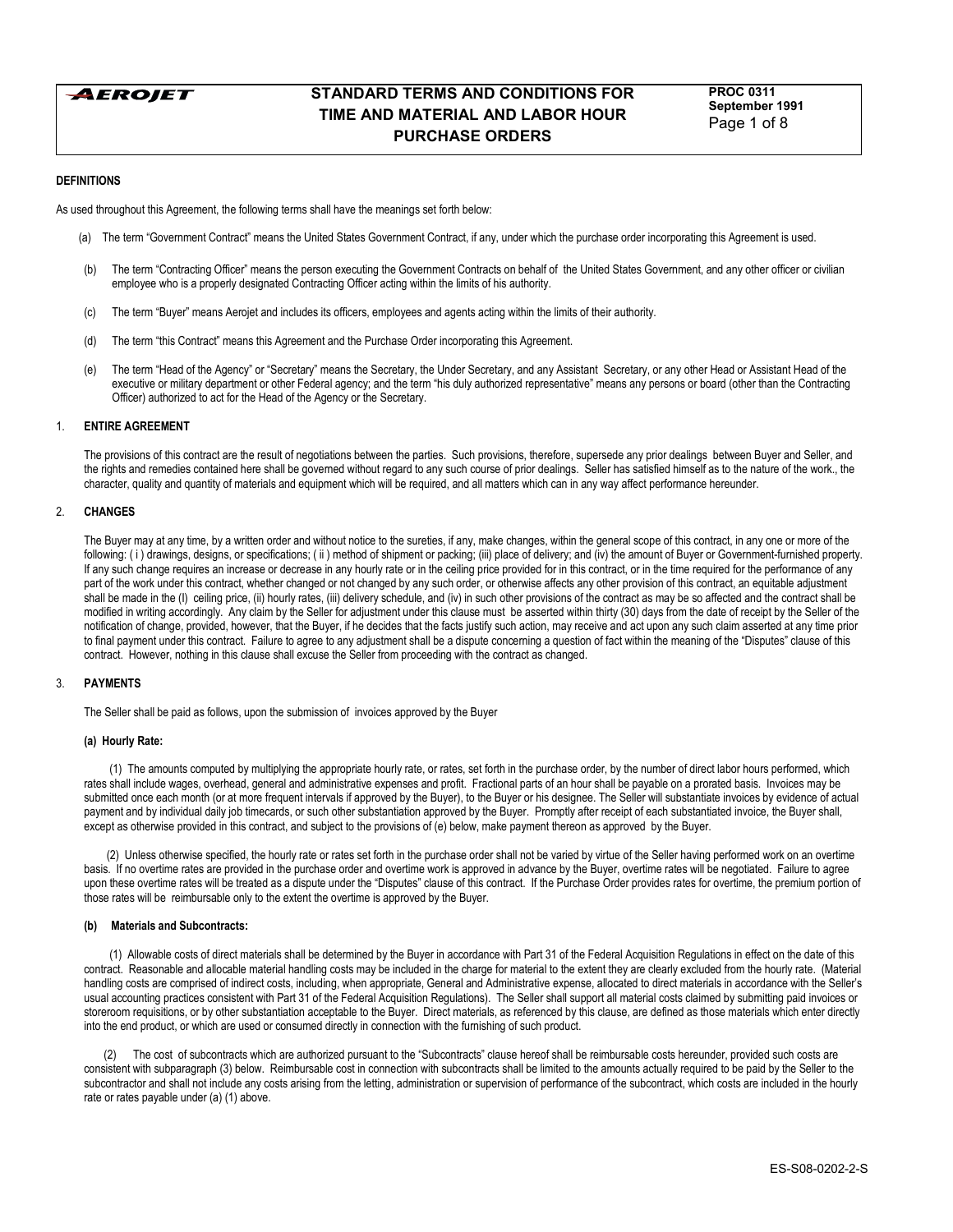

**PROC 0311 September 1991** Page 1 of 8

### **DEFINITIONS**

As used throughout this Agreement, the following terms shall have the meanings set forth below:

- (a) The term "Government Contract" means the United States Government Contract, if any, under which the purchase order incorporating this Agreement is used.
- (b) The term "Contracting Officer" means the person executing the Government Contracts on behalf of the United States Government, and any other officer or civilian employee who is a properly designated Contracting Officer acting within the limits of his authority.
- (c) The term ìBuyerî means Aerojet and includes its officers, employees and agents acting within the limits of their authority.
- (d) The term "this Contract" means this Agreement and the Purchase Order incorporating this Agreement.
- (e) The term "Head of the Agency" or "Secretary" means the Secretary, the Under Secretary, and any Assistant Secretary, or any other Head or Assistant Head of the executive or military department or other Federal agency; and the term "his duly authorized representative" means any persons or board (other than the Contracting Officer) authorized to act for the Head of the Agency or the Secretary.

### 1. **ENTIRE AGREEMENT**

The provisions of this contract are the result of negotiations between the parties. Such provisions, therefore, supersede any prior dealings between Buyer and Seller, and the rights and remedies contained here shall be governed without regard to any such course of prior dealings. Seller has satisfied himself as to the nature of the work., the character, quality and quantity of materials and equipment which will be required, and all matters which can in any way affect performance hereunder.

#### 2. **CHANGES**

The Buyer may at any time, by a written order and without notice to the sureties, if any, make changes, within the general scope of this contract, in any one or more of the following: ( i ) drawings, designs, or specifications; ( ii ) method of shipment or packing; (iii) place of delivery; and (iv) the amount of Buyer or Government-furnished property. If any such change requires an increase or decrease in any hourly rate or in the ceiling price provided for in this contract, or in the time required for the performance of any part of the work under this contract, whether changed or not changed by any such order, or otherwise affects any other provision of this contract, an equitable adjustment shall be made in the (I) ceiling price, (ii) hourly rates, (iii) delivery schedule, and (iv) in such other provisions of the contract as may be so affected and the contract shall be modified in writing accordingly. Any claim by the Seller for adjustment under this clause must be asserted within thirty (30) days from the date of receipt by the Seller of the notification of change, provided, however, that the Buyer, if he decides that the facts justify such action, may receive and act upon any such claim asserted at any time prior to final payment under this contract. Failure to agree to any adjustment shall be a dispute concerning a question of fact within the meaning of the "Disputes" clause of this contract. However, nothing in this clause shall excuse the Seller from proceeding with the contract as changed.

#### 3. **PAYMENTS**

The Seller shall be paid as follows, upon the submission of invoices approved by the Buyer

#### **(a) Hourly Rate:**

 (1) The amounts computed by multiplying the appropriate hourly rate, or rates, set forth in the purchase order, by the number of direct labor hours performed, which rates shall include wages, overhead, general and administrative expenses and profit. Fractional parts of an hour shall be payable on a prorated basis. Invoices may be submitted once each month (or at more frequent intervals if approved by the Buyer), to the Buyer or his designee. The Seller will substantiate invoices by evidence of actual payment and by individual daily job timecards, or such other substantiation approved by the Buyer. Promptly after receipt of each substantiated invoice, the Buyer shall, except as otherwise provided in this contract, and subject to the provisions of (e) below, make payment thereon as approved by the Buyer.

 (2) Unless otherwise specified, the hourly rate or rates set forth in the purchase order shall not be varied by virtue of the Seller having performed work on an overtime basis. If no overtime rates are provided in the purchase order and overtime work is approved in advance by the Buyer, overtime rates will be negotiated. Failure to agree upon these overtime rates will be treated as a dispute under the "Disputes" clause of this contract. If the Purchase Order provides rates for overtime, the premium portion of those rates will be reimbursable only to the extent the overtime is approved by the Buyer.

#### **(b) Materials and Subcontracts:**

(1) Allowable costs of direct materials shall be determined by the Buyer in accordance with Part 31 of the Federal Acquisition Regulations in effect on the date of this contract. Reasonable and allocable material handling costs may be included in the charge for material to the extent they are clearly excluded from the hourly rate. (Material handling costs are comprised of indirect costs, including, when appropriate, General and Administrative expense, allocated to direct materials in accordance with the Seller's usual accounting practices consistent with Part 31 of the Federal Acquisition Regulations). The Seller shall support all material costs claimed by submitting paid invoices or storeroom requisitions, or by other substantiation acceptable to the Buyer. Direct materials, as referenced by this clause, are defined as those materials which enter directly into the end product, or which are used or consumed directly in connection with the furnishing of such product.

(2) The cost of subcontracts which are authorized pursuant to the "Subcontracts" clause hereof shall be reimbursable costs hereunder, provided such costs are consistent with subparagraph (3) below. Reimbursable cost in connection with subcontracts shall be limited to the amounts actually required to be paid by the Seller to the subcontractor and shall not include any costs arising from the letting, administration or supervision of performance of the subcontract, which costs are included in the hourly rate or rates payable under (a) (1) above.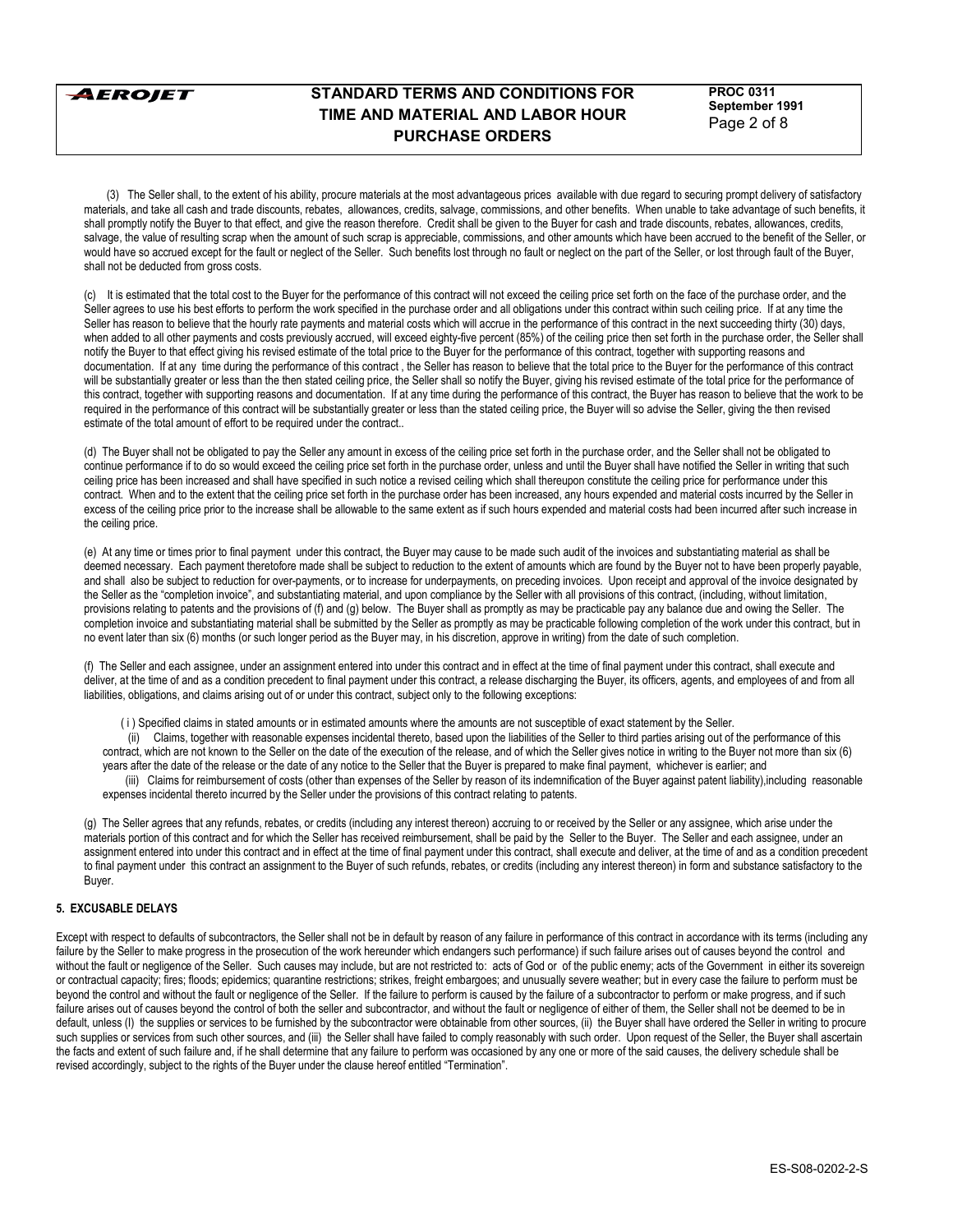

**PROC 0311 September 1991** Page 2 of 8

 (3) The Seller shall, to the extent of his ability, procure materials at the most advantageous prices available with due regard to securing prompt delivery of satisfactory materials, and take all cash and trade discounts, rebates, allowances, credits, salvage, commissions, and other benefits. When unable to take advantage of such benefits, it shall promptly notify the Buyer to that effect, and give the reason therefore. Credit shall be given to the Buyer for cash and trade discounts, rebates, allowances, credits, salvage, the value of resulting scrap when the amount of such scrap is appreciable, commissions, and other amounts which have been accrued to the benefit of the Seller, or would have so accrued except for the fault or neglect of the Seller. Such benefits lost through no fault or neglect on the part of the Seller, or lost through fault of the Buyer, shall not be deducted from gross costs.

(c) It is estimated that the total cost to the Buyer for the performance of this contract will not exceed the ceiling price set forth on the face of the purchase order, and the Seller agrees to use his best efforts to perform the work specified in the purchase order and all obligations under this contract within such ceiling price. If at any time the Seller has reason to believe that the hourly rate payments and material costs which will accrue in the performance of this contract in the next succeeding thirty (30) days, when added to all other payments and costs previously accrued, will exceed eighty-five percent (85%) of the ceiling price then set forth in the purchase order, the Seller shall notify the Buyer to that effect giving his revised estimate of the total price to the Buyer for the performance of this contract, together with supporting reasons and documentation. If at any time during the performance of this contract, the Seller has reason to believe that the total price to the Buyer for the performance of this contract will be substantially greater or less than the then stated ceiling price, the Seller shall so notify the Buyer, giving his revised estimate of the total price for the performance of this contract, together with supporting reasons and documentation. If at any time during the performance of this contract, the Buyer has reason to believe that the work to be required in the performance of this contract will be substantially greater or less than the stated ceiling price, the Buyer will so advise the Seller, giving the then revised estimate of the total amount of effort to be required under the contract..

(d) The Buyer shall not be obligated to pay the Seller any amount in excess of the ceiling price set forth in the purchase order, and the Seller shall not be obligated to continue performance if to do so would exceed the ceiling price set forth in the purchase order, unless and until the Buyer shall have notified the Seller in writing that such ceiling price has been increased and shall have specified in such notice a revised ceiling which shall thereupon constitute the ceiling price for performance under this contract. When and to the extent that the ceiling price set forth in the purchase order has been increased, any hours expended and material costs incurred by the Seller in excess of the ceiling price prior to the increase shall be allowable to the same extent as if such hours expended and material costs had been incurred after such increase in the ceiling price.

(e) At any time or times prior to final payment under this contract, the Buyer may cause to be made such audit of the invoices and substantiating material as shall be deemed necessary. Each payment theretofore made shall be subject to reduction to the extent of amounts which are found by the Buyer not to have been properly payable, and shall also be subject to reduction for over-payments, or to increase for underpayments, on preceding invoices. Upon receipt and approval of the invoice designated by the Seller as the "completion invoice", and substantiating material, and upon compliance by the Seller with all provisions of this contract, (including, without limitation, provisions relating to patents and the provisions of (f) and (g) below. The Buyer shall as promptly as may be practicable pay any balance due and owing the Seller. The completion invoice and substantiating material shall be submitted by the Seller as promptly as may be practicable following completion of the work under this contract, but in no event later than six (6) months (or such longer period as the Buyer may, in his discretion, approve in writing) from the date of such completion.

(f) The Seller and each assignee, under an assignment entered into under this contract and in effect at the time of final payment under this contract, shall execute and deliver, at the time of and as a condition precedent to final payment under this contract, a release discharging the Buyer, its officers, agents, and employees of and from all liabilities, obligations, and claims arising out of or under this contract, subject only to the following exceptions:

( i ) Specified claims in stated amounts or in estimated amounts where the amounts are not susceptible of exact statement by the Seller.

 (ii) Claims, together with reasonable expenses incidental thereto, based upon the liabilities of the Seller to third parties arising out of the performance of this contract, which are not known to the Seller on the date of the execution of the release, and of which the Seller gives notice in writing to the Buyer not more than six (6) years after the date of the release or the date of any notice to the Seller that the Buyer is prepared to make final payment, whichever is earlier; and

 (iii) Claims for reimbursement of costs (other than expenses of the Seller by reason of its indemnification of the Buyer against patent liability),including reasonable expenses incidental thereto incurred by the Seller under the provisions of this contract relating to patents.

(g) The Seller agrees that any refunds, rebates, or credits (including any interest thereon) accruing to or received by the Seller or any assignee, which arise under the materials portion of this contract and for which the Seller has received reimbursement, shall be paid by the Seller to the Buyer. The Seller and each assignee, under an assignment entered into under this contract and in effect at the time of final payment under this contract, shall execute and deliver, at the time of and as a condition precedent to final payment under this contract an assignment to the Buyer of such refunds, rebates, or credits (including any interest thereon) in form and substance satisfactory to the Buyer.

# **5. EXCUSABLE DELAYS**

Except with respect to defaults of subcontractors, the Seller shall not be in default by reason of any failure in performance of this contract in accordance with its terms (including any failure by the Seller to make progress in the prosecution of the work hereunder which endangers such performance) if such failure arises out of causes beyond the control and without the fault or negligence of the Seller. Such causes may include, but are not restricted to: acts of God or of the public enemy; acts of the Government in either its sovereign or contractual capacity; fires; floods; epidemics; quarantine restrictions; strikes, freight embargoes; and unusually severe weather; but in every case the failure to perform must be beyond the control and without the fault or negligence of the Seller. If the failure to perform is caused by the failure of a subcontractor to perform or make progress, and if such failure arises out of causes beyond the control of both the seller and subcontractor, and without the fault or negligence of either of them, the Seller shall not be deemed to be in default, unless (I) the supplies or services to be furnished by the subcontractor were obtainable from other sources, (ii) the Buyer shall have ordered the Seller in writing to procure such supplies or services from such other sources, and (iii) the Seller shall have failed to comply reasonably with such order. Upon request of the Seller, the Buyer shall ascertain the facts and extent of such failure and, if he shall determine that any failure to perform was occasioned by any one or more of the said causes, the delivery schedule shall be revised accordingly, subject to the rights of the Buyer under the clause hereof entitled "Termination".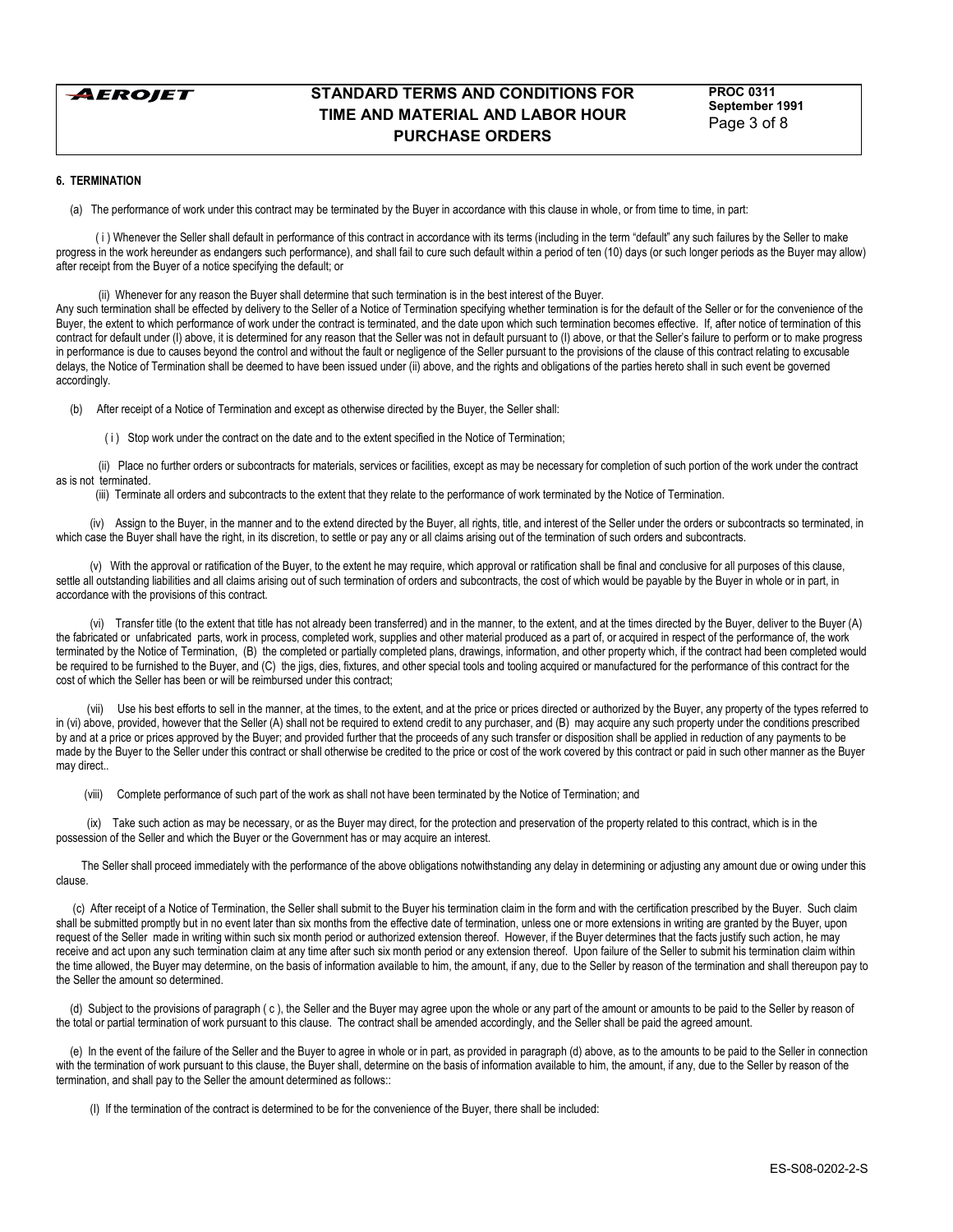

**PROC 0311 September 1991** Page 3 of 8

### **6. TERMINATION**

(a) The performance of work under this contract may be terminated by the Buyer in accordance with this clause in whole, or from time to time, in part:

(i) Whenever the Seller shall default in performance of this contract in accordance with its terms (including in the term "default" any such failures by the Seller to make progress in the work hereunder as endangers such performance), and shall fail to cure such default within a period of ten (10) days (or such longer periods as the Buyer may allow) after receipt from the Buyer of a notice specifying the default; or

(ii) Whenever for any reason the Buyer shall determine that such termination is in the best interest of the Buyer.

Any such termination shall be effected by delivery to the Seller of a Notice of Termination specifying whether termination is for the default of the Seller or for the convenience of the Buyer, the extent to which performance of work under the contract is terminated, and the date upon which such termination becomes effective. If, after notice of termination of this contract for default under (I) above, it is determined for any reason that the Seller was not in default pursuant to (I) above, or that the Seller's failure to perform or to make progress in performance is due to causes beyond the control and without the fault or negligence of the Seller pursuant to the provisions of the clause of this contract relating to excusable delays, the Notice of Termination shall be deemed to have been issued under (ii) above, and the rights and obligations of the parties hereto shall in such event be governed accordingly.

(b) After receipt of a Notice of Termination and except as otherwise directed by the Buyer, the Seller shall:

( i ) Stop work under the contract on the date and to the extent specified in the Notice of Termination;

 (ii) Place no further orders or subcontracts for materials, services or facilities, except as may be necessary for completion of such portion of the work under the contract as is not terminated.

(iii) Terminate all orders and subcontracts to the extent that they relate to the performance of work terminated by the Notice of Termination.

 (iv) Assign to the Buyer, in the manner and to the extend directed by the Buyer, all rights, title, and interest of the Seller under the orders or subcontracts so terminated, in which case the Buyer shall have the right, in its discretion, to settle or pay any or all claims arising out of the termination of such orders and subcontracts.

 (v) With the approval or ratification of the Buyer, to the extent he may require, which approval or ratification shall be final and conclusive for all purposes of this clause, settle all outstanding liabilities and all claims arising out of such termination of orders and subcontracts, the cost of which would be payable by the Buyer in whole or in part, in accordance with the provisions of this contract.

 (vi) Transfer title (to the extent that title has not already been transferred) and in the manner, to the extent, and at the times directed by the Buyer, deliver to the Buyer (A) the fabricated or unfabricated parts, work in process, completed work, supplies and other material produced as a part of, or acquired in respect of the performance of, the work terminated by the Notice of Termination, (B) the completed or partially completed plans, drawings, information, and other property which, if the contract had been completed would be required to be furnished to the Buyer, and (C) the jigs, dies, fixtures, and other special tools and tooling acquired or manufactured for the performance of this contract for the cost of which the Seller has been or will be reimbursed under this contract;

(vii) Use his best efforts to sell in the manner, at the times, to the extent, and at the price or prices directed or authorized by the Buyer, any property of the types referred to in (vi) above, provided, however that the Seller (A) shall not be required to extend credit to any purchaser, and (B) may acquire any such property under the conditions prescribed by and at a price or prices approved by the Buyer; and provided further that the proceeds of any such transfer or disposition shall be applied in reduction of any payments to be made by the Buyer to the Seller under this contract or shall otherwise be credited to the price or cost of the work covered by this contract or paid in such other manner as the Buyer may direct..

(viii) Complete performance of such part of the work as shall not have been terminated by the Notice of Termination; and

 (ix) Take such action as may be necessary, or as the Buyer may direct, for the protection and preservation of the property related to this contract, which is in the possession of the Seller and which the Buyer or the Government has or may acquire an interest.

 The Seller shall proceed immediately with the performance of the above obligations notwithstanding any delay in determining or adjusting any amount due or owing under this clause.

 (c) After receipt of a Notice of Termination, the Seller shall submit to the Buyer his termination claim in the form and with the certification prescribed by the Buyer. Such claim shall be submitted promptly but in no event later than six months from the effective date of termination, unless one or more extensions in writing are granted by the Buyer, upon request of the Seller made in writing within such six month period or authorized extension thereof. However, if the Buyer determines that the facts justify such action, he may receive and act upon any such termination claim at any time after such six month period or any extension thereof. Upon failure of the Seller to submit his termination claim within the time allowed, the Buyer may determine, on the basis of information available to him, the amount, if any, due to the Seller by reason of the termination and shall thereupon pay to the Seller the amount so determined.

(d) Subject to the provisions of paragraph (c), the Seller and the Buyer may agree upon the whole or any part of the amount or amounts to be paid to the Seller by reason of the total or partial termination of work pursuant to this clause. The contract shall be amended accordingly, and the Seller shall be paid the agreed amount.

 (e) In the event of the failure of the Seller and the Buyer to agree in whole or in part, as provided in paragraph (d) above, as to the amounts to be paid to the Seller in connection with the termination of work pursuant to this clause, the Buyer shall, determine on the basis of information available to him, the amount, if any, due to the Seller by reason of the termination, and shall pay to the Seller the amount determined as follows::

(I) If the termination of the contract is determined to be for the convenience of the Buyer, there shall be included: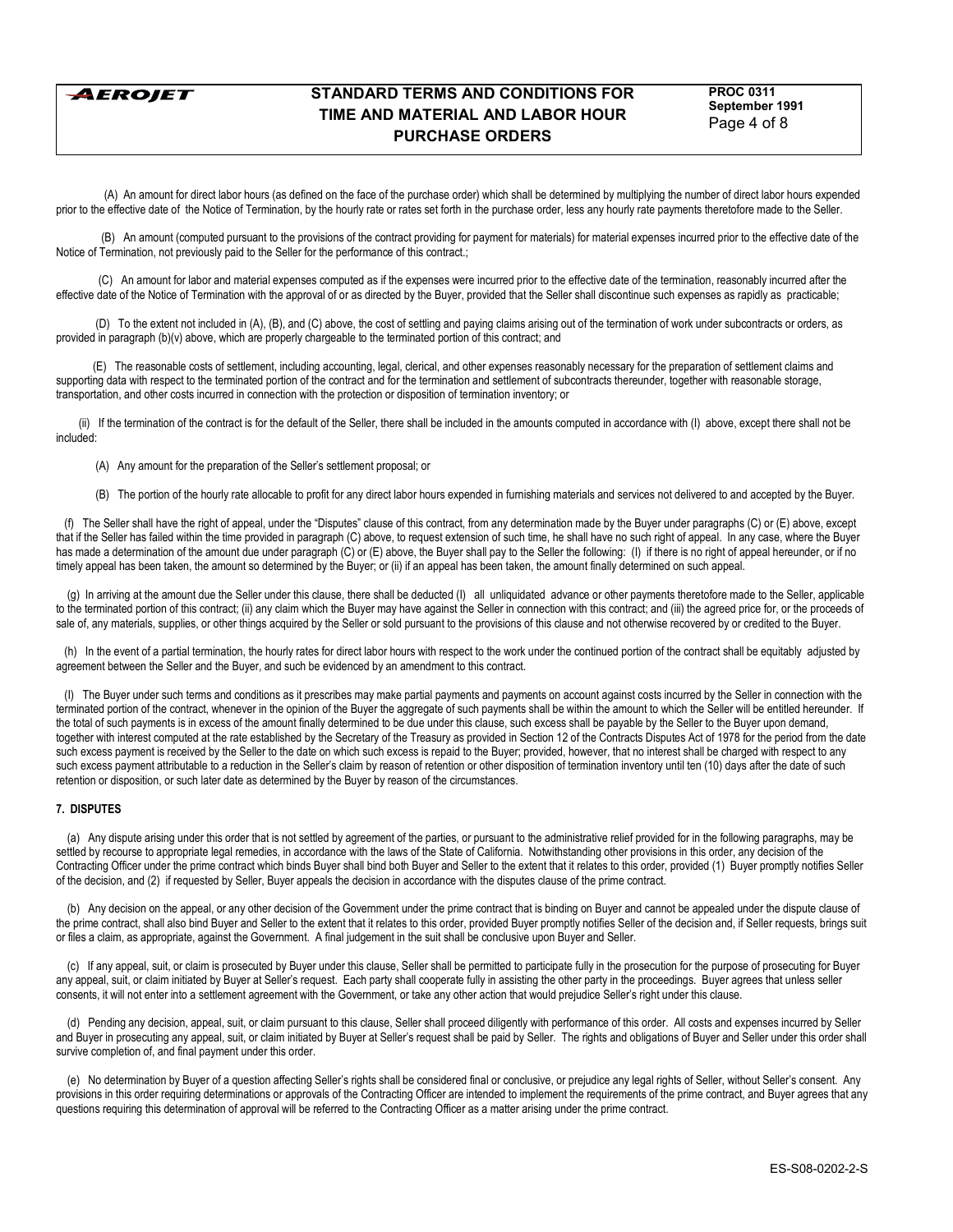**AEROJET** 

# **STANDARD TERMS AND CONDITIONS FOR TIME AND MATERIAL AND LABOR HOUR PURCHASE ORDERS**

**PROC 0311 September 1991** Page 4 of 8

 (A) An amount for direct labor hours (as defined on the face of the purchase order) which shall be determined by multiplying the number of direct labor hours expended prior to the effective date of the Notice of Termination, by the hourly rate or rates set forth in the purchase order, less any hourly rate payments theretofore made to the Seller.

 (B) An amount (computed pursuant to the provisions of the contract providing for payment for materials) for material expenses incurred prior to the effective date of the Notice of Termination, not previously paid to the Seller for the performance of this contract.;

 (C) An amount for labor and material expenses computed as if the expenses were incurred prior to the effective date of the termination, reasonably incurred after the effective date of the Notice of Termination with the approval of or as directed by the Buyer, provided that the Seller shall discontinue such expenses as rapidly as practicable;

 (D) To the extent not included in (A), (B), and (C) above, the cost of settling and paying claims arising out of the termination of work under subcontracts or orders, as provided in paragraph (b)(v) above, which are properly chargeable to the terminated portion of this contract; and

 (E) The reasonable costs of settlement, including accounting, legal, clerical, and other expenses reasonably necessary for the preparation of settlement claims and supporting data with respect to the terminated portion of the contract and for the termination and settlement of subcontracts thereunder, together with reasonable storage, transportation, and other costs incurred in connection with the protection or disposition of termination inventory; or

 (ii) If the termination of the contract is for the default of the Seller, there shall be included in the amounts computed in accordance with (I) above, except there shall not be included:

- (A) Any amount for the preparation of the Seller's settlement proposal; or
- (B) The portion of the hourly rate allocable to profit for any direct labor hours expended in furnishing materials and services not delivered to and accepted by the Buyer.

(f) The Seller shall have the right of appeal, under the "Disputes" clause of this contract, from any determination made by the Buyer under paragraphs (C) or (E) above, except that if the Seller has failed within the time provided in paragraph (C) above, to request extension of such time, he shall have no such right of appeal. In any case, where the Buyer has made a determination of the amount due under paragraph (C) or (E) above, the Buyer shall pay to the Seller the following: (I) if there is no right of appeal hereunder, or if no timely appeal has been taken, the amount so determined by the Buyer; or (ii) if an appeal has been taken, the amount finally determined on such appeal.

 (g) In arriving at the amount due the Seller under this clause, there shall be deducted (I) all unliquidated advance or other payments theretofore made to the Seller, applicable to the terminated portion of this contract; (ii) any claim which the Buyer may have against the Seller in connection with this contract; and (iii) the agreed price for, or the proceeds of sale of, any materials, supplies, or other things acquired by the Seller or sold pursuant to the provisions of this clause and not otherwise recovered by or credited to the Buyer.

(h) In the event of a partial termination, the hourly rates for direct labor hours with respect to the work under the continued portion of the contract shall be equitably adjusted by agreement between the Seller and the Buyer, and such be evidenced by an amendment to this contract.

 (I) The Buyer under such terms and conditions as it prescribes may make partial payments and payments on account against costs incurred by the Seller in connection with the terminated portion of the contract, whenever in the opinion of the Buyer the aggregate of such payments shall be within the amount to which the Seller will be entitled hereunder. If the total of such payments is in excess of the amount finally determined to be due under this clause, such excess shall be payable by the Seller to the Buyer upon demand, together with interest computed at the rate established by the Secretary of the Treasury as provided in Section 12 of the Contracts Disputes Act of 1978 for the period from the date such excess payment is received by the Seller to the date on which such excess is repaid to the Buyer; provided, however, that no interest shall be charged with respect to any such excess payment attributable to a reduction in the Seller's claim by reason of retention or other disposition of termination inventory until ten (10) days after the date of such retention or disposition, or such later date as determined by the Buyer by reason of the circumstances.

### **7. DISPUTES**

 (a) Any dispute arising under this order that is not settled by agreement of the parties, or pursuant to the administrative relief provided for in the following paragraphs, may be settled by recourse to appropriate legal remedies, in accordance with the laws of the State of California. Notwithstanding other provisions in this order, any decision of the Contracting Officer under the prime contract which binds Buyer shall bind both Buyer and Seller to the extent that it relates to this order, provided (1) Buyer promptly notifies Seller of the decision, and (2) if requested by Seller, Buyer appeals the decision in accordance with the disputes clause of the prime contract.

 (b) Any decision on the appeal, or any other decision of the Government under the prime contract that is binding on Buyer and cannot be appealed under the dispute clause of the prime contract, shall also bind Buyer and Seller to the extent that it relates to this order, provided Buyer promptly notifies Seller of the decision and, if Seller requests, brings suit or files a claim, as appropriate, against the Government. A final judgement in the suit shall be conclusive upon Buyer and Seller.

 (c) If any appeal, suit, or claim is prosecuted by Buyer under this clause, Seller shall be permitted to participate fully in the prosecution for the purpose of prosecuting for Buyer any appeal, suit, or claim initiated by Buyer at Seller's request. Each party shall cooperate fully in assisting the other party in the proceedings. Buyer agrees that unless seller consents, it will not enter into a settlement agreement with the Government, or take any other action that would prejudice Sellerís right under this clause.

 (d) Pending any decision, appeal, suit, or claim pursuant to this clause, Seller shall proceed diligently with performance of this order. All costs and expenses incurred by Seller and Buyer in prosecuting any appeal, suit, or claim initiated by Buyer at Seller's request shall be paid by Seller. The rights and obligations of Buyer and Seller under this order shall survive completion of, and final payment under this order.

 (e) No determination by Buyer of a question affecting Sellerís rights shall be considered final or conclusive, or prejudice any legal rights of Seller, without Sellerís consent. Any provisions in this order requiring determinations or approvals of the Contracting Officer are intended to implement the requirements of the prime contract, and Buyer agrees that any questions requiring this determination of approval will be referred to the Contracting Officer as a matter arising under the prime contract.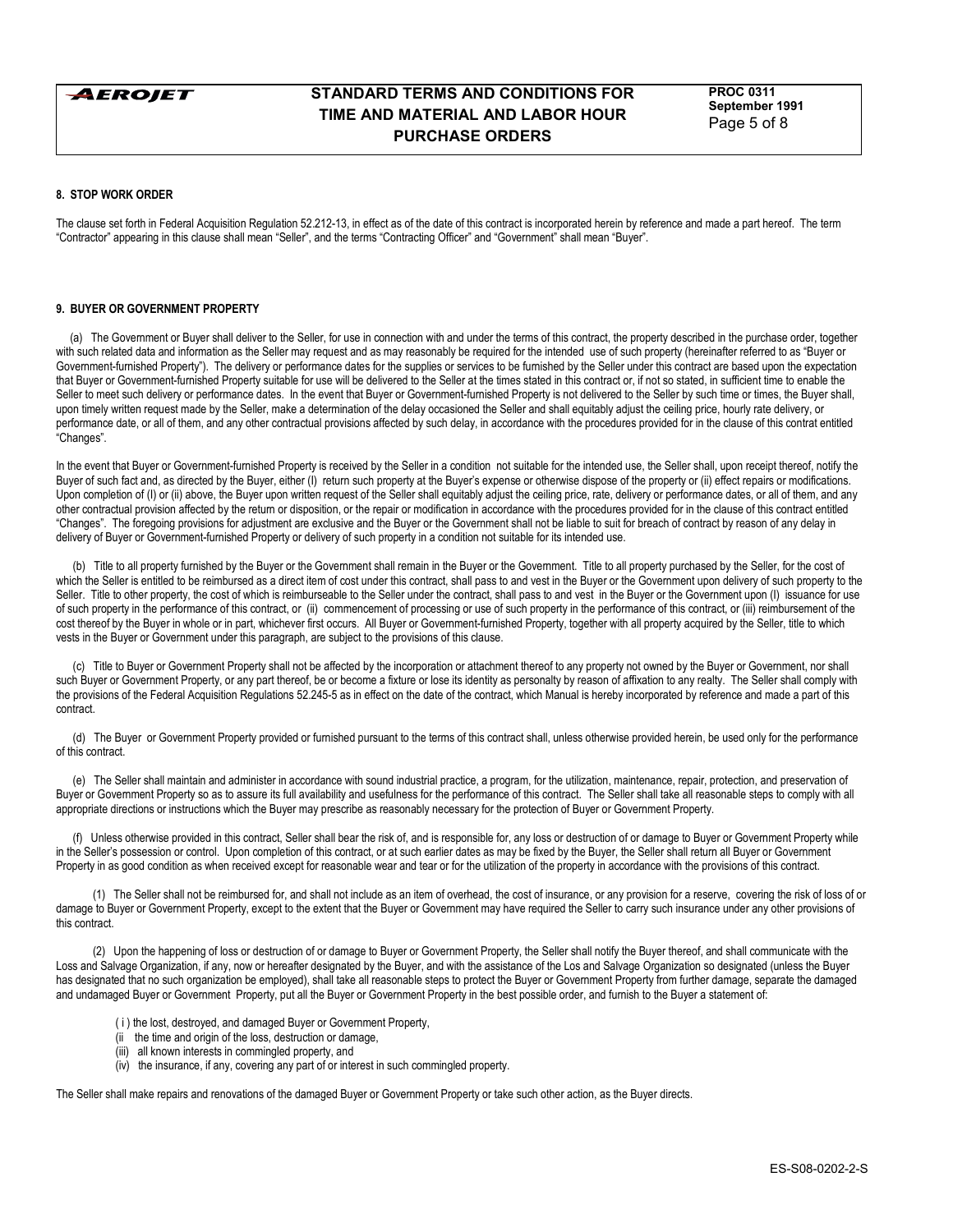

**PROC 0311 September 1991** Page 5 of 8

### **8. STOP WORK ORDER**

The clause set forth in Federal Acquisition Regulation 52.212-13, in effect as of the date of this contract is incorporated herein by reference and made a part hereof. The term "Contractor" appearing in this clause shall mean "Seller", and the terms "Contracting Officer" and "Government" shall mean "Buyer".

# **9. BUYER OR GOVERNMENT PROPERTY**

 (a) The Government or Buyer shall deliver to the Seller, for use in connection with and under the terms of this contract, the property described in the purchase order, together with such related data and information as the Seller may request and as may reasonably be required for the intended use of such property (hereinafter referred to as "Buyer or Government-furnished Propertyî). The delivery or performance dates for the supplies or services to be furnished by the Seller under this contract are based upon the expectation that Buyer or Government-furnished Property suitable for use will be delivered to the Seller at the times stated in this contract or, if not so stated, in sufficient time to enable the Seller to meet such delivery or performance dates. In the event that Buyer or Government-furnished Property is not delivered to the Seller by such time or times, the Buyer shall, upon timely written request made by the Seller, make a determination of the delay occasioned the Seller and shall equitably adjust the ceiling price, hourly rate delivery, or performance date, or all of them, and any other contractual provisions affected by such delay, in accordance with the procedures provided for in the clause of this contrat entitled .<br>"Changes".

In the event that Buyer or Government-furnished Property is received by the Seller in a condition not suitable for the intended use, the Seller shall, upon receipt thereof, notify the Buyer of such fact and, as directed by the Buyer, either (I) return such property at the Buyer's expense or otherwise dispose of the property or (ii) effect repairs or modifications. Upon completion of (I) or (ii) above, the Buyer upon written request of the Seller shall equitably adjust the ceiling price, rate, delivery or performance dates, or all of them, and any other contractual provision affected by the return or disposition, or the repair or modification in accordance with the procedures provided for in the clause of this contract entitled ìChangesî. The foregoing provisions for adjustment are exclusive and the Buyer or the Government shall not be liable to suit for breach of contract by reason of any delay in delivery of Buyer or Government-furnished Property or delivery of such property in a condition not suitable for its intended use.

 (b) Title to all property furnished by the Buyer or the Government shall remain in the Buyer or the Government. Title to all property purchased by the Seller, for the cost of which the Seller is entitled to be reimbursed as a direct item of cost under this contract, shall pass to and vest in the Buyer or the Government upon delivery of such property to the Seller. Title to other property, the cost of which is reimburseable to the Seller under the contract, shall pass to and vest in the Buyer or the Government upon (I) issuance for use of such property in the performance of this contract, or (ii) commencement of processing or use of such property in the performance of this contract, or (iii) reimbursement of the cost thereof by the Buyer in whole or in part, whichever first occurs. All Buyer or Government-furnished Property, together with all property acquired by the Seller, title to which vests in the Buyer or Government under this paragraph, are subject to the provisions of this clause.

 (c) Title to Buyer or Government Property shall not be affected by the incorporation or attachment thereof to any property not owned by the Buyer or Government, nor shall such Buyer or Government Property, or any part thereof, be or become a fixture or lose its identity as personalty by reason of affixation to any realty. The Seller shall comply with the provisions of the Federal Acquisition Regulations 52.245-5 as in effect on the date of the contract, which Manual is hereby incorporated by reference and made a part of this contract.

 (d) The Buyer or Government Property provided or furnished pursuant to the terms of this contract shall, unless otherwise provided herein, be used only for the performance of this contract.

 (e) The Seller shall maintain and administer in accordance with sound industrial practice, a program, for the utilization, maintenance, repair, protection, and preservation of Buyer or Government Property so as to assure its full availability and usefulness for the performance of this contract. The Seller shall take all reasonable steps to comply with all appropriate directions or instructions which the Buyer may prescribe as reasonably necessary for the protection of Buyer or Government Property.

 (f) Unless otherwise provided in this contract, Seller shall bear the risk of, and is responsible for, any loss or destruction of or damage to Buyer or Government Property while in the Seller's possession or control. Upon completion of this contract, or at such earlier dates as may be fixed by the Buyer, the Seller shall return all Buyer or Government Property in as good condition as when received except for reasonable wear and tear or for the utilization of the property in accordance with the provisions of this contract.

 (1) The Seller shall not be reimbursed for, and shall not include as an item of overhead, the cost of insurance, or any provision for a reserve, covering the risk of loss of or damage to Buyer or Government Property, except to the extent that the Buyer or Government may have required the Seller to carry such insurance under any other provisions of this contract.

 (2) Upon the happening of loss or destruction of or damage to Buyer or Government Property, the Seller shall notify the Buyer thereof, and shall communicate with the Loss and Salvage Organization, if any, now or hereafter designated by the Buyer, and with the assistance of the Los and Salvage Organization so designated (unless the Buyer has designated that no such organization be employed), shall take all reasonable steps to protect the Buyer or Government Property from further damage, separate the damaged and undamaged Buyer or Government Property, put all the Buyer or Government Property in the best possible order, and furnish to the Buyer a statement of:

- ( i ) the lost, destroyed, and damaged Buyer or Government Property,
- (ii the time and origin of the loss, destruction or damage,
- (iii) all known interests in commingled property, and
- (iv) the insurance, if any, covering any part of or interest in such commingled property.

The Seller shall make repairs and renovations of the damaged Buyer or Government Property or take such other action, as the Buyer directs.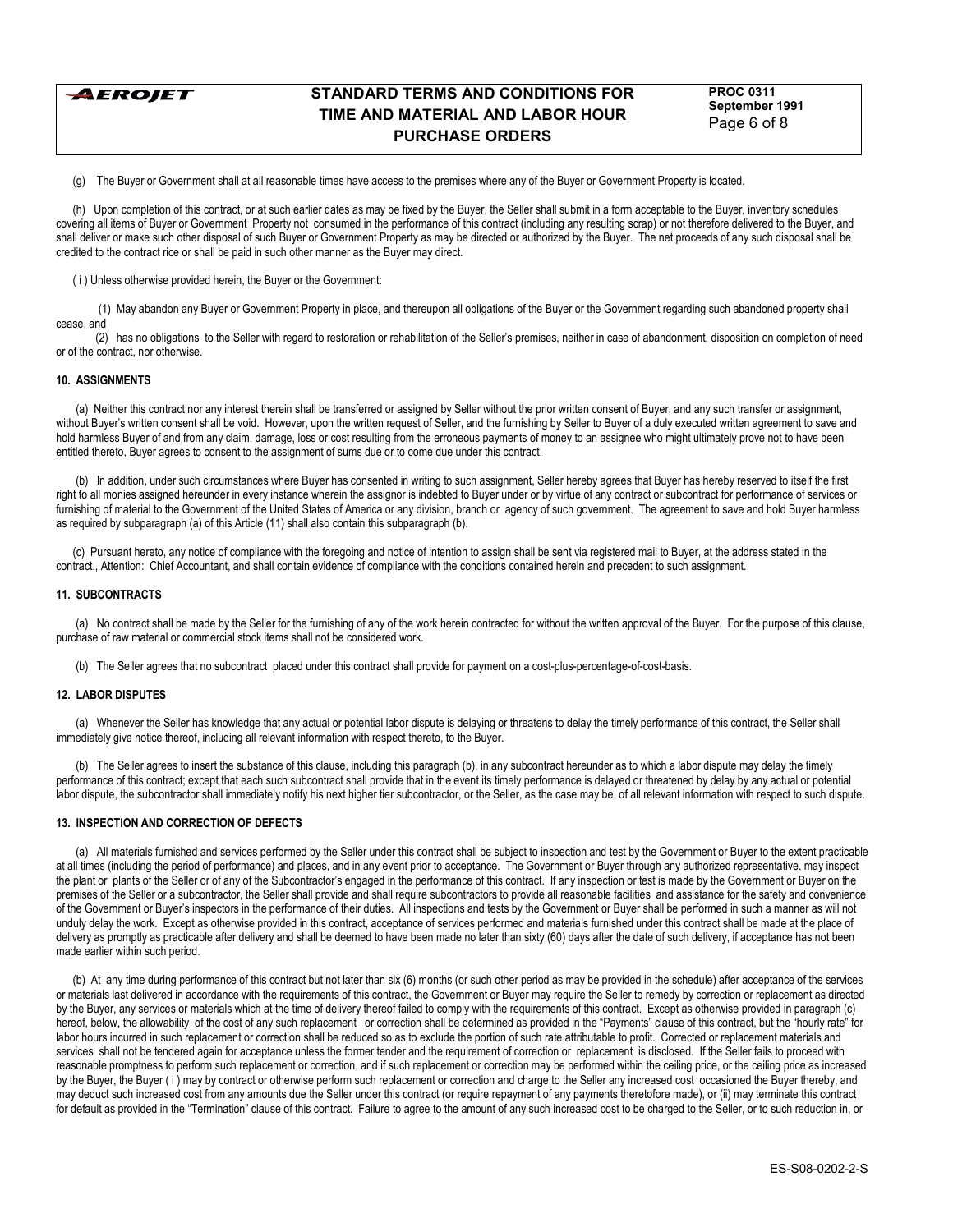

**PROC 0311 September 1991** Page 6 of 8

(g) The Buyer or Government shall at all reasonable times have access to the premises where any of the Buyer or Government Property is located.

 (h) Upon completion of this contract, or at such earlier dates as may be fixed by the Buyer, the Seller shall submit in a form acceptable to the Buyer, inventory schedules covering all items of Buyer or Government Property not consumed in the performance of this contract (including any resulting scrap) or not therefore delivered to the Buyer, and shall deliver or make such other disposal of such Buyer or Government Property as may be directed or authorized by the Buyer. The net proceeds of any such disposal shall be credited to the contract rice or shall be paid in such other manner as the Buyer may direct.

( i ) Unless otherwise provided herein, the Buyer or the Government:

 (1) May abandon any Buyer or Government Property in place, and thereupon all obligations of the Buyer or the Government regarding such abandoned property shall cease, and

 (2) has no obligations to the Seller with regard to restoration or rehabilitation of the Sellerís premises, neither in case of abandonment, disposition on completion of need or of the contract, nor otherwise.

## **10. ASSIGNMENTS**

 (a) Neither this contract nor any interest therein shall be transferred or assigned by Seller without the prior written consent of Buyer, and any such transfer or assignment, without Buyer's written consent shall be void. However, upon the written request of Seller, and the furnishing by Seller to Buyer of a duly executed written agreement to save and hold harmless Buyer of and from any claim, damage, loss or cost resulting from the erroneous payments of money to an assignee who might ultimately prove not to have been entitled thereto, Buyer agrees to consent to the assignment of sums due or to come due under this contract.

(b) In addition, under such circumstances where Buyer has consented in writing to such assignment, Seller hereby agrees that Buyer has hereby reserved to itself the first right to all monies assigned hereunder in every instance wherein the assignor is indebted to Buyer under or by virtue of any contract or subcontract for performance of services or furnishing of material to the Government of the United States of America or any division, branch or agency of such government. The agreement to save and hold Buyer harmless as required by subparagraph (a) of this Article (11) shall also contain this subparagraph (b).

 (c) Pursuant hereto, any notice of compliance with the foregoing and notice of intention to assign shall be sent via registered mail to Buyer, at the address stated in the contract., Attention: Chief Accountant, and shall contain evidence of compliance with the conditions contained herein and precedent to such assignment.

#### **11. SUBCONTRACTS**

 (a) No contract shall be made by the Seller for the furnishing of any of the work herein contracted for without the written approval of the Buyer. For the purpose of this clause, purchase of raw material or commercial stock items shall not be considered work.

(b) The Seller agrees that no subcontract placed under this contract shall provide for payment on a cost-plus-percentage-of-cost-basis.

### **12. LABOR DISPUTES**

 (a) Whenever the Seller has knowledge that any actual or potential labor dispute is delaying or threatens to delay the timely performance of this contract, the Seller shall immediately give notice thereof, including all relevant information with respect thereto, to the Buyer.

 (b) The Seller agrees to insert the substance of this clause, including this paragraph (b), in any subcontract hereunder as to which a labor dispute may delay the timely performance of this contract; except that each such subcontract shall provide that in the event its timely performance is delayed or threatened by delay by any actual or potential labor dispute, the subcontractor shall immediately notify his next higher tier subcontractor, or the Seller, as the case may be, of all relevant information with respect to such dispute.

### **13. INSPECTION AND CORRECTION OF DEFECTS**

 (a) All materials furnished and services performed by the Seller under this contract shall be subject to inspection and test by the Government or Buyer to the extent practicable at all times (including the period of performance) and places, and in any event prior to acceptance. The Government or Buyer through any authorized representative, may inspect the plant or plants of the Seller or of any of the Subcontractor's engaged in the performance of this contract. If any inspection or test is made by the Government or Buyer on the premises of the Seller or a subcontractor, the Seller shall provide and shall require subcontractors to provide all reasonable facilities and assistance for the safety and convenience of the Government or Buyerís inspectors in the performance of their duties. All inspections and tests by the Government or Buyer shall be performed in such a manner as will not unduly delay the work. Except as otherwise provided in this contract, acceptance of services performed and materials furnished under this contract shall be made at the place of delivery as promptly as practicable after delivery and shall be deemed to have been made no later than sixty (60) days after the date of such delivery, if acceptance has not been made earlier within such period.

 (b) At any time during performance of this contract but not later than six (6) months (or such other period as may be provided in the schedule) after acceptance of the services or materials last delivered in accordance with the requirements of this contract, the Government or Buyer may require the Seller to remedy by correction or replacement as directed by the Buyer, any services or materials which at the time of delivery thereof failed to comply with the requirements of this contract. Except as otherwise provided in paragraph (c) hereof, below, the allowability of the cost of any such replacement or correction shall be determined as provided in the "Payments" clause of this contract, but the "hourly rate" for labor hours incurred in such replacement or correction shall be reduced so as to exclude the portion of such rate attributable to profit. Corrected or replacement materials and services shall not be tendered again for acceptance unless the former tender and the requirement of correction or replacement is disclosed. If the Seller fails to proceed with reasonable promptness to perform such replacement or correction, and if such replacement or correction may be performed within the ceiling price, or the ceiling price as increased by the Buyer, the Buyer ( i ) may by contract or otherwise perform such replacement or correction and charge to the Seller any increased cost occasioned the Buyer thereby, and may deduct such increased cost from any amounts due the Seller under this contract (or require repayment of any payments theretofore made), or (ii) may terminate this contract for default as provided in the "Termination" clause of this contract. Failure to agree to the amount of any such increased cost to be charged to the Seller, or to such reduction in, or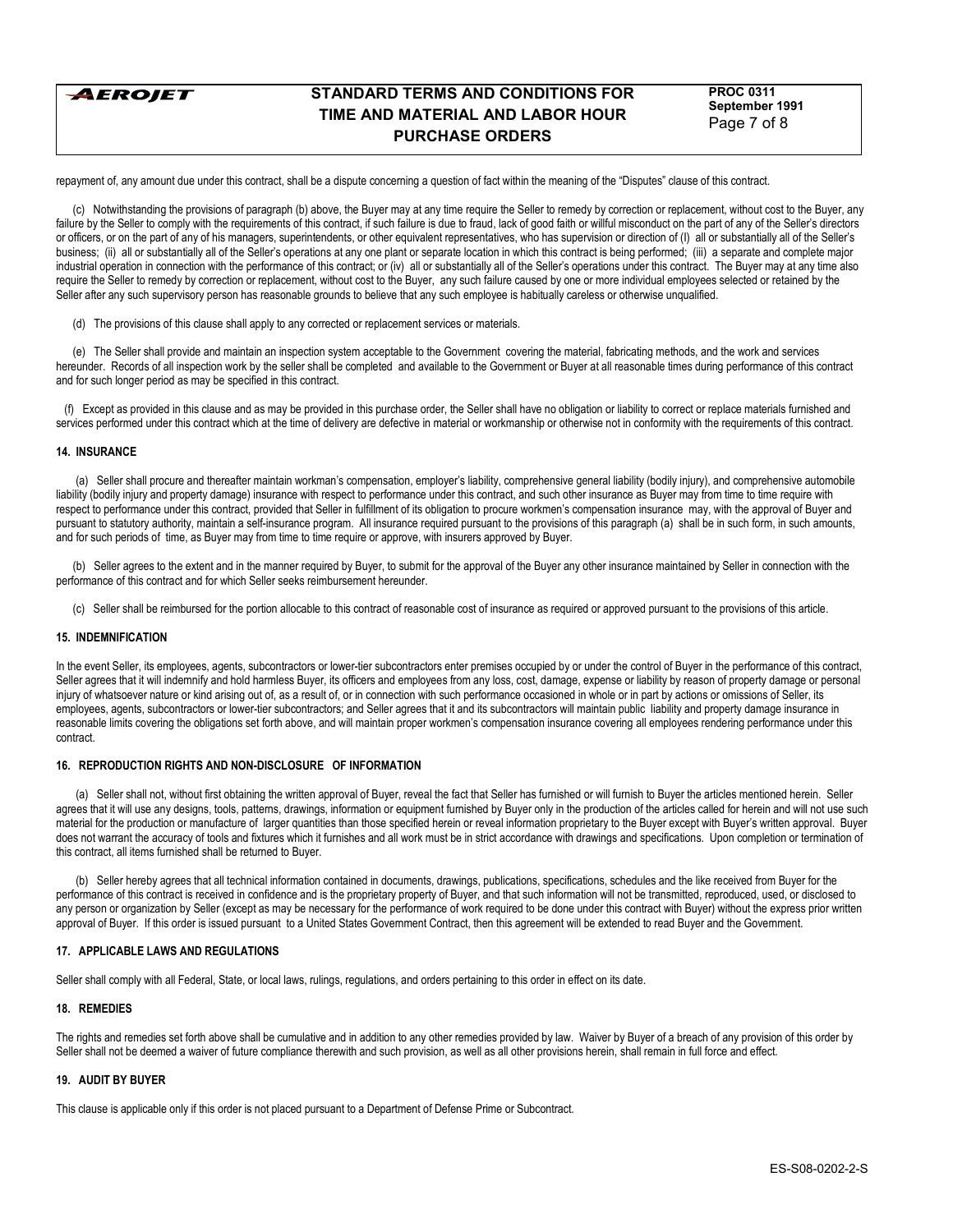

**PROC 0311 September 1991** Page 7 of 8

repayment of, any amount due under this contract, shall be a dispute concerning a question of fact within the meaning of the "Disputes" clause of this contract.

 (c) Notwithstanding the provisions of paragraph (b) above, the Buyer may at any time require the Seller to remedy by correction or replacement, without cost to the Buyer, any failure by the Seller to comply with the requirements of this contract, if such failure is due to fraud, lack of good faith or willful misconduct on the part of any of the Seller's directors or officers, or on the part of any of his managers, superintendents, or other equivalent representatives, who has supervision or direction of (I) all or substantially all of the Seller's business; (ii) all or substantially all of the Seller's operations at any one plant or separate location in which this contract is being performed; (iii) a separate and complete major industrial operation in connection with the performance of this contract; or (iv) all or substantially all of the Seller's operations under this contract. The Buyer may at any time also require the Seller to remedy by correction or replacement, without cost to the Buyer, any such failure caused by one or more individual employees selected or retained by the Seller after any such supervisory person has reasonable grounds to believe that any such employee is habitually careless or otherwise unqualified.

(d) The provisions of this clause shall apply to any corrected or replacement services or materials.

 (e) The Seller shall provide and maintain an inspection system acceptable to the Government covering the material, fabricating methods, and the work and services hereunder. Records of all inspection work by the seller shall be completed and available to the Government or Buyer at all reasonable times during performance of this contract and for such longer period as may be specified in this contract.

 (f) Except as provided in this clause and as may be provided in this purchase order, the Seller shall have no obligation or liability to correct or replace materials furnished and services performed under this contract which at the time of delivery are defective in material or workmanship or otherwise not in conformity with the requirements of this contract.

### **14. INSURANCE**

 (a) Seller shall procure and thereafter maintain workmanís compensation, employerís liability, comprehensive general liability (bodily injury), and comprehensive automobile liability (bodily injury and property damage) insurance with respect to performance under this contract, and such other insurance as Buyer may from time to time require with respect to performance under this contract, provided that Seller in fulfillment of its obligation to procure workmenís compensation insurance may, with the approval of Buyer and pursuant to statutory authority, maintain a self-insurance program. All insurance required pursuant to the provisions of this paragraph (a) shall be in such form, in such amounts, and for such periods of time, as Buyer may from time to time require or approve, with insurers approved by Buyer.

 (b) Seller agrees to the extent and in the manner required by Buyer, to submit for the approval of the Buyer any other insurance maintained by Seller in connection with the performance of this contract and for which Seller seeks reimbursement hereunder.

(c) Seller shall be reimbursed for the portion allocable to this contract of reasonable cost of insurance as required or approved pursuant to the provisions of this article.

# **15. INDEMNIFICATION**

In the event Seller, its employees, agents, subcontractors or lower-tier subcontractors enter premises occupied by or under the control of Buyer in the performance of this contract, Seller agrees that it will indemnify and hold harmless Buyer, its officers and employees from any loss, cost, damage, expense or liability by reason of property damage or personal injury of whatsoever nature or kind arising out of, as a result of, or in connection with such performance occasioned in whole or in part by actions or omissions of Seller, its employees, agents, subcontractors or lower-tier subcontractors; and Seller agrees that it and its subcontractors will maintain public liability and property damage insurance in reasonable limits covering the obligations set forth above, and will maintain proper workmen's compensation insurance covering all employees rendering performance under this contract.

### **16. REPRODUCTION RIGHTS AND NON-DISCLOSURE OF INFORMATION**

 (a) Seller shall not, without first obtaining the written approval of Buyer, reveal the fact that Seller has furnished or will furnish to Buyer the articles mentioned herein. Seller agrees that it will use any designs, tools, patterns, drawings, information or equipment furnished by Buyer only in the production of the articles called for herein and will not use such material for the production or manufacture of larger quantities than those specified herein or reveal information proprietary to the Buyer except with Buyer's written approval. Buyer does not warrant the accuracy of tools and fixtures which it furnishes and all work must be in strict accordance with drawings and specifications. Upon completion or termination of this contract, all items furnished shall be returned to Buyer.

 (b) Seller hereby agrees that all technical information contained in documents, drawings, publications, specifications, schedules and the like received from Buyer for the performance of this contract is received in confidence and is the proprietary property of Buyer, and that such information will not be transmitted, reproduced, used, or disclosed to any person or organization by Seller (except as may be necessary for the performance of work required to be done under this contract with Buyer) without the express prior written approval of Buyer. If this order is issued pursuant to a United States Government Contract, then this agreement will be extended to read Buyer and the Government.

# **17. APPLICABLE LAWS AND REGULATIONS**

Seller shall comply with all Federal, State, or local laws, rulings, regulations, and orders pertaining to this order in effect on its date.

#### **18. REMEDIES**

The rights and remedies set forth above shall be cumulative and in addition to any other remedies provided by law. Waiver by Buyer of a breach of any provision of this order by Seller shall not be deemed a waiver of future compliance therewith and such provision, as well as all other provisions herein, shall remain in full force and effect.

### **19. AUDIT BY BUYER**

This clause is applicable only if this order is not placed pursuant to a Department of Defense Prime or Subcontract.